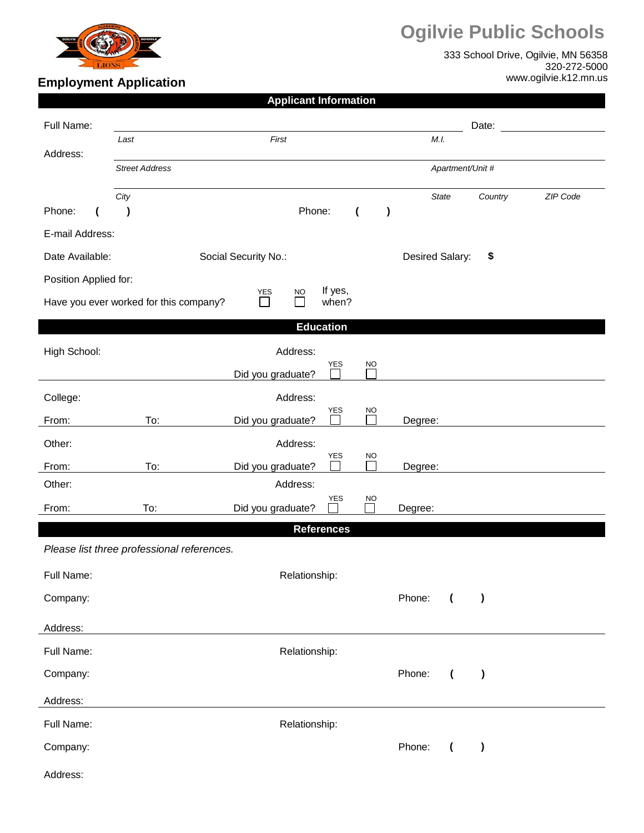# **Ogilvie Public Schools**



# **Employment Application**

| Full Name:                                                       |                                            |                             |                  |                          |              |                  | Date:         |          |  |  |  |  |
|------------------------------------------------------------------|--------------------------------------------|-----------------------------|------------------|--------------------------|--------------|------------------|---------------|----------|--|--|--|--|
| Address:                                                         | First<br>Last                              |                             |                  |                          |              | M.I.             |               |          |  |  |  |  |
|                                                                  | <b>Street Address</b>                      |                             |                  |                          |              | Apartment/Unit # |               |          |  |  |  |  |
|                                                                  | City                                       |                             |                  |                          | <b>State</b> |                  | Country       | ZIP Code |  |  |  |  |
| Phone:                                                           | $\lambda$                                  | Phone:                      |                  | $\overline{\mathcal{L}}$ | $\lambda$    |                  |               |          |  |  |  |  |
| E-mail Address:                                                  |                                            |                             |                  |                          |              |                  |               |          |  |  |  |  |
| Date Available:<br>Social Security No.:<br>Desired Salary:<br>\$ |                                            |                             |                  |                          |              |                  |               |          |  |  |  |  |
| Position Applied for:                                            |                                            | YES<br><b>NO</b>            | If yes,          |                          |              |                  |               |          |  |  |  |  |
|                                                                  | Have you ever worked for this company?     | $\mathcal{L}_{\mathcal{A}}$ | when?            |                          |              |                  |               |          |  |  |  |  |
|                                                                  |                                            |                             | <b>Education</b> |                          |              |                  |               |          |  |  |  |  |
| High School:                                                     |                                            | Address:                    | <b>YES</b>       | <b>NO</b>                |              |                  |               |          |  |  |  |  |
|                                                                  |                                            | Did you graduate?           |                  |                          |              |                  |               |          |  |  |  |  |
| College:                                                         |                                            | Address:                    |                  |                          |              |                  |               |          |  |  |  |  |
| From:                                                            | To:                                        | Did you graduate?           | <b>YES</b>       | NO                       | Degree:      |                  |               |          |  |  |  |  |
| Other:                                                           |                                            | Address:                    |                  |                          |              |                  |               |          |  |  |  |  |
| From:                                                            | To:                                        | Did you graduate?           | <b>YES</b>       | <b>NO</b>                | Degree:      |                  |               |          |  |  |  |  |
| Other:                                                           |                                            | Address:                    | <b>YES</b>       | <b>NO</b>                |              |                  |               |          |  |  |  |  |
| From:                                                            | To:                                        | Did you graduate?           |                  |                          | Degree:      |                  |               |          |  |  |  |  |
| <b>References</b>                                                |                                            |                             |                  |                          |              |                  |               |          |  |  |  |  |
|                                                                  | Please list three professional references. |                             |                  |                          |              |                  |               |          |  |  |  |  |
| Full Name:                                                       |                                            | Relationship:               |                  |                          |              |                  |               |          |  |  |  |  |
| Company:                                                         |                                            |                             |                  |                          | Phone:       |                  | $\mathbf{I}$  |          |  |  |  |  |
| Address:                                                         |                                            |                             |                  |                          |              |                  |               |          |  |  |  |  |
| Full Name:<br>Relationship:                                      |                                            |                             |                  |                          |              |                  |               |          |  |  |  |  |
| Company:                                                         |                                            |                             |                  |                          | Phone:       | $\overline{ }$   | $\mathcal Y$  |          |  |  |  |  |
| Address:                                                         |                                            |                             |                  |                          |              |                  |               |          |  |  |  |  |
| Full Name:                                                       | Relationship:                              |                             |                  |                          |              |                  |               |          |  |  |  |  |
| Company:                                                         |                                            |                             |                  |                          |              | $\overline{ }$   | $\mathcal{E}$ |          |  |  |  |  |
| Address:                                                         |                                            |                             |                  |                          |              |                  |               |          |  |  |  |  |

**Applicant Information**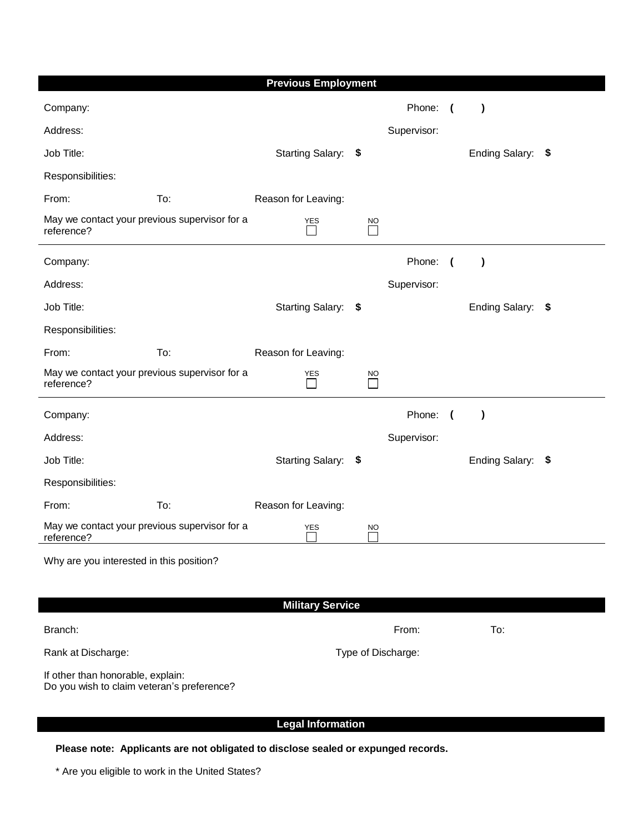| <b>Previous Employment</b>                                                      |     |                     |  |                                          |             |            |                   |    |  |  |
|---------------------------------------------------------------------------------|-----|---------------------|--|------------------------------------------|-------------|------------|-------------------|----|--|--|
| Company:                                                                        |     |                     |  |                                          | Phone:      |            | $\lambda$         |    |  |  |
| Address:                                                                        |     |                     |  |                                          | Supervisor: |            |                   |    |  |  |
| Job Title:                                                                      |     | Starting Salary: \$ |  |                                          |             |            | Ending Salary:    | \$ |  |  |
| Responsibilities:                                                               |     |                     |  |                                          |             |            |                   |    |  |  |
| From:                                                                           | To: | Reason for Leaving: |  |                                          |             |            |                   |    |  |  |
| May we contact your previous supervisor for a<br>reference?                     |     | YES                 |  | <b>NO</b><br>$\mathcal{L}_{\mathcal{A}}$ |             |            |                   |    |  |  |
| Company:                                                                        |     |                     |  |                                          | Phone: (    |            | $\mathcal Y$      |    |  |  |
| Address:                                                                        |     |                     |  |                                          | Supervisor: |            |                   |    |  |  |
| Job Title:                                                                      |     | Starting Salary: \$ |  |                                          |             |            | Ending Salary: \$ |    |  |  |
| Responsibilities:                                                               |     |                     |  |                                          |             |            |                   |    |  |  |
| From:                                                                           | To: | Reason for Leaving: |  |                                          |             |            |                   |    |  |  |
| May we contact your previous supervisor for a<br>reference?                     |     | <b>YES</b>          |  | <b>NO</b>                                |             |            |                   |    |  |  |
| Company:                                                                        |     |                     |  |                                          | Phone:      | $\sqrt{ }$ | $\lambda$         |    |  |  |
| Address:                                                                        |     |                     |  |                                          | Supervisor: |            |                   |    |  |  |
| Job Title:                                                                      |     | Starting Salary: \$ |  |                                          |             |            | Ending Salary: \$ |    |  |  |
| Responsibilities:                                                               |     |                     |  |                                          |             |            |                   |    |  |  |
| From:                                                                           | To: | Reason for Leaving: |  |                                          |             |            |                   |    |  |  |
| May we contact your previous supervisor for a<br>reference?                     |     | <b>YES</b>          |  | NO.                                      |             |            |                   |    |  |  |
| Why are you interested in this position?                                        |     |                     |  |                                          |             |            |                   |    |  |  |
|                                                                                 |     |                     |  |                                          |             |            |                   |    |  |  |
| <b>Military Service</b>                                                         |     |                     |  |                                          |             |            |                   |    |  |  |
| Branch:                                                                         |     |                     |  |                                          | From:       |            | To:               |    |  |  |
| Rank at Discharge:                                                              |     | Type of Discharge:  |  |                                          |             |            |                   |    |  |  |
| If other than honorable, explain:<br>Do you wish to claim veteran's preference? |     |                     |  |                                          |             |            |                   |    |  |  |

**Legal Information**

**Please note: Applicants are not obligated to disclose sealed or expunged records.** 

\* Are you eligible to work in the United States?